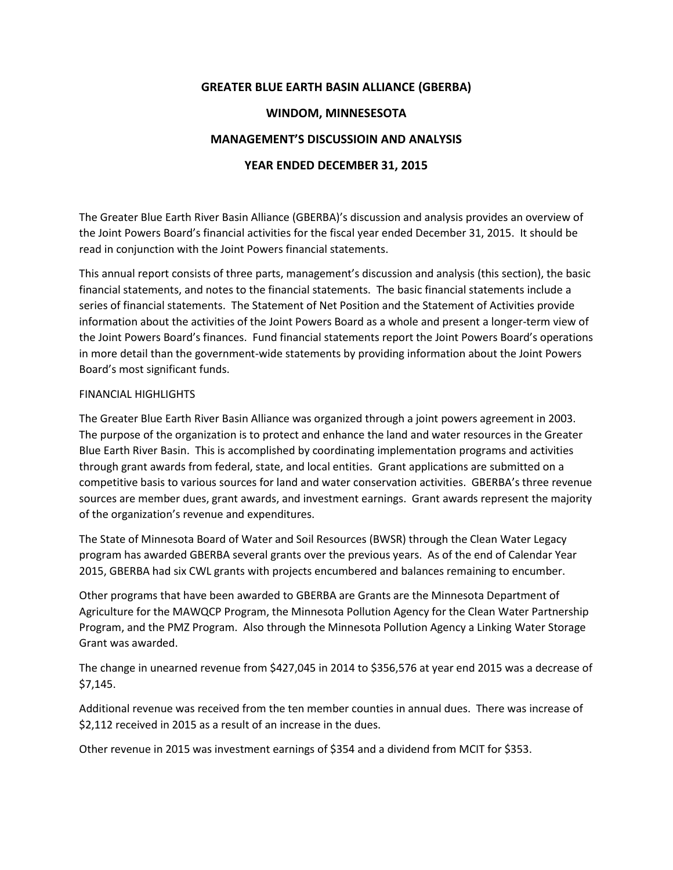## **GREATER BLUE EARTH BASIN ALLIANCE (GBERBA)**

### **WINDOM, MINNESESOTA**

## **MANAGEMENT'S DISCUSSIOIN AND ANALYSIS**

### **YEAR ENDED DECEMBER 31, 2015**

The Greater Blue Earth River Basin Alliance (GBERBA)'s discussion and analysis provides an overview of the Joint Powers Board's financial activities for the fiscal year ended December 31, 2015. It should be read in conjunction with the Joint Powers financial statements.

This annual report consists of three parts, management's discussion and analysis (this section), the basic financial statements, and notes to the financial statements. The basic financial statements include a series of financial statements. The Statement of Net Position and the Statement of Activities provide information about the activities of the Joint Powers Board as a whole and present a longer-term view of the Joint Powers Board's finances. Fund financial statements report the Joint Powers Board's operations in more detail than the government-wide statements by providing information about the Joint Powers Board's most significant funds.

### FINANCIAL HIGHLIGHTS

The Greater Blue Earth River Basin Alliance was organized through a joint powers agreement in 2003. The purpose of the organization is to protect and enhance the land and water resources in the Greater Blue Earth River Basin. This is accomplished by coordinating implementation programs and activities through grant awards from federal, state, and local entities. Grant applications are submitted on a competitive basis to various sources for land and water conservation activities. GBERBA's three revenue sources are member dues, grant awards, and investment earnings. Grant awards represent the majority of the organization's revenue and expenditures.

The State of Minnesota Board of Water and Soil Resources (BWSR) through the Clean Water Legacy program has awarded GBERBA several grants over the previous years. As of the end of Calendar Year 2015, GBERBA had six CWL grants with projects encumbered and balances remaining to encumber.

Other programs that have been awarded to GBERBA are Grants are the Minnesota Department of Agriculture for the MAWQCP Program, the Minnesota Pollution Agency for the Clean Water Partnership Program, and the PMZ Program. Also through the Minnesota Pollution Agency a Linking Water Storage Grant was awarded.

The change in unearned revenue from \$427,045 in 2014 to \$356,576 at year end 2015 was a decrease of \$7,145.

Additional revenue was received from the ten member counties in annual dues. There was increase of \$2,112 received in 2015 as a result of an increase in the dues.

Other revenue in 2015 was investment earnings of \$354 and a dividend from MCIT for \$353.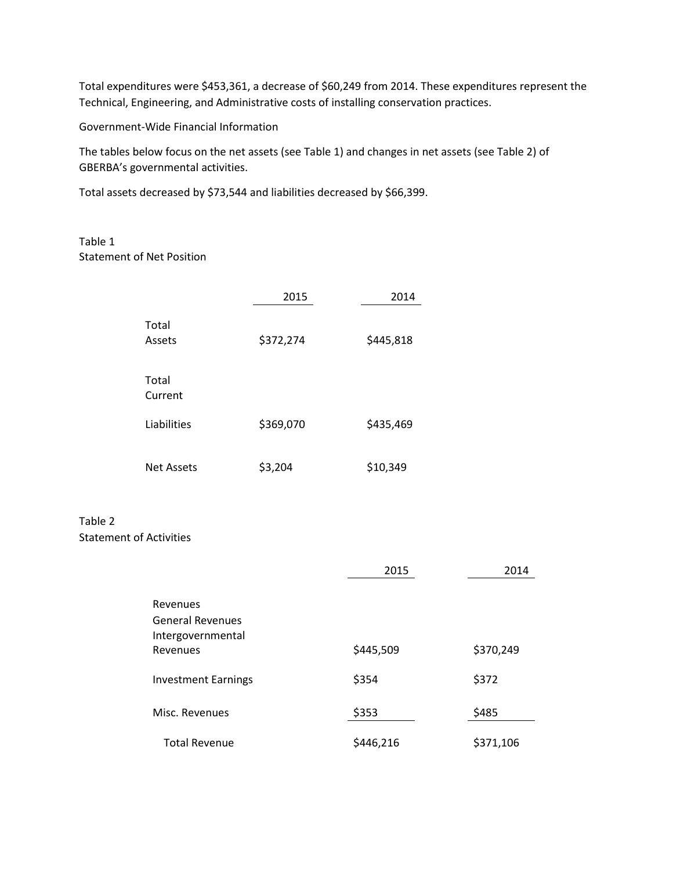Total expenditures were \$453,361, a decrease of \$60,249 from 2014. These expenditures represent the Technical, Engineering, and Administrative costs of installing conservation practices.

Government-Wide Financial Information

The tables below focus on the net assets (see Table 1) and changes in net assets (see Table 2) of GBERBA's governmental activities.

Total assets decreased by \$73,544 and liabilities decreased by \$66,399.

## Table 1 Statement of Net Position

|                   | 2015      | 2014      |
|-------------------|-----------|-----------|
| Total<br>Assets   | \$372,274 | \$445,818 |
| Total<br>Current  |           |           |
| Liabilities       | \$369,070 | \$435,469 |
| <b>Net Assets</b> | \$3,204   | \$10,349  |

## Table 2 Statement of Activities

|                                                          | 2015      | 2014      |  |
|----------------------------------------------------------|-----------|-----------|--|
| Revenues<br><b>General Revenues</b><br>Intergovernmental |           |           |  |
| Revenues                                                 | \$445,509 | \$370,249 |  |
| <b>Investment Earnings</b>                               | \$354     | \$372     |  |
| Misc. Revenues                                           | \$353     | \$485     |  |
| <b>Total Revenue</b>                                     | \$446,216 | \$371,106 |  |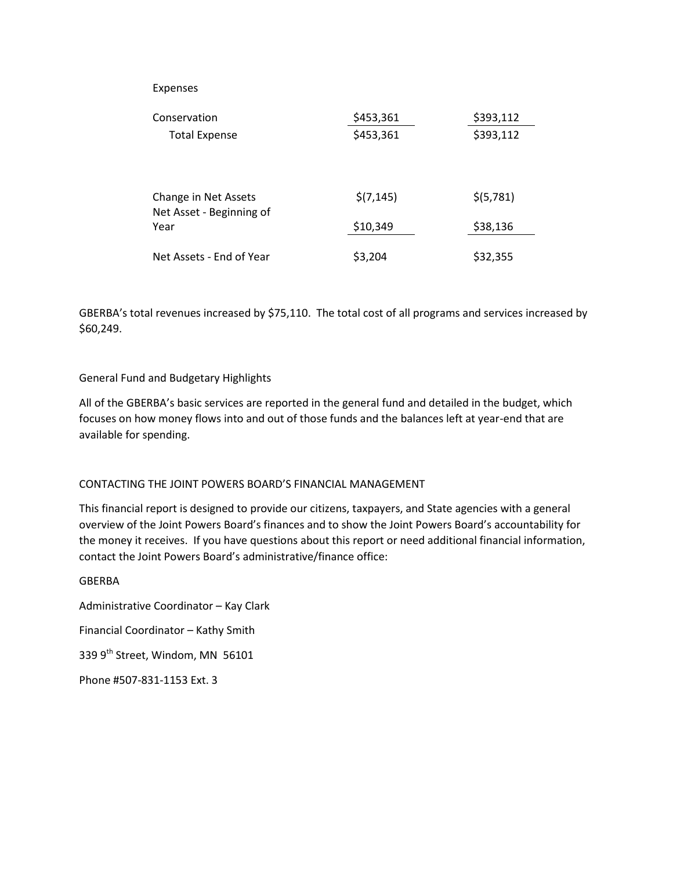#### Expenses

| Conservation                                             | \$453,361  | \$393,112  |
|----------------------------------------------------------|------------|------------|
| <b>Total Expense</b>                                     | \$453,361  | \$393,112  |
| Change in Net Assets<br>Net Asset - Beginning of<br>Year | \$(7, 145) | \$ (5,781) |
|                                                          | \$10,349   | \$38,136   |
| Net Assets - End of Year                                 | \$3,204    | \$32,355   |

GBERBA's total revenues increased by \$75,110. The total cost of all programs and services increased by \$60,249.

### General Fund and Budgetary Highlights

All of the GBERBA's basic services are reported in the general fund and detailed in the budget, which focuses on how money flows into and out of those funds and the balances left at year-end that are available for spending.

#### CONTACTING THE JOINT POWERS BOARD'S FINANCIAL MANAGEMENT

This financial report is designed to provide our citizens, taxpayers, and State agencies with a general overview of the Joint Powers Board's finances and to show the Joint Powers Board's accountability for the money it receives. If you have questions about this report or need additional financial information, contact the Joint Powers Board's administrative/finance office:

GBERBA Administrative Coordinator – Kay Clark Financial Coordinator – Kathy Smith 339 9<sup>th</sup> Street, Windom, MN 56101 Phone #507-831-1153 Ext. 3